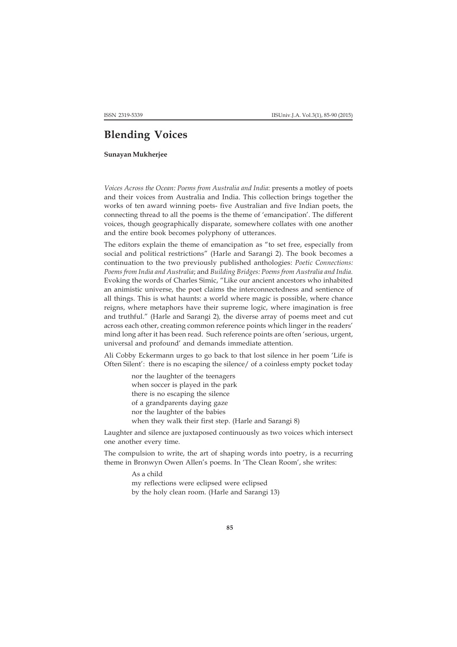## **Blending Voices**

**Sunayan Mukherjee**

*Voices Across the Ocean: Poems from Australia and India*: presents a motley of poets and their voices from Australia and India. This collection brings together the works of ten award winning poets- five Australian and five Indian poets, the connecting thread to all the poems is the theme of 'emancipation'. The different voices, though geographically disparate, somewhere collates with one another and the entire book becomes polyphony of utterances.

The editors explain the theme of emancipation as "to set free, especially from social and political restrictions" (Harle and Sarangi 2). The book becomes a continuation to the two previously published anthologies: *Poetic Connections: Poems from India and Australia*; and *Building Bridges: Poems from Australia and India.* Evoking the words of Charles Simic, "Like our ancient ancestors who inhabited an animistic universe, the poet claims the interconnectedness and sentience of all things. This is what haunts: a world where magic is possible, where chance reigns, where metaphors have their supreme logic, where imagination is free and truthful." (Harle and Sarangi 2)*,* the diverse array of poems meet and cut across each other, creating common reference points which linger in the readers' mind long after it has been read. Such reference points are often 'serious, urgent, universal and profound' and demands immediate attention.

Ali Cobby Eckermann urges to go back to that lost silence in her poem 'Life is Often Silent': there is no escaping the silence/ of a coinless empty pocket today

> nor the laughter of the teenagers when soccer is played in the park there is no escaping the silence of a grandparents daying gaze nor the laughter of the babies when they walk their first step. (Harle and Sarangi 8)

Laughter and silence are juxtaposed continuously as two voices which intersect one another every time.

The compulsion to write, the art of shaping words into poetry, is a recurring theme in Bronwyn Owen Allen's poems. In 'The Clean Room', she writes:

> As a child my reflections were eclipsed were eclipsed by the holy clean room. (Harle and Sarangi 13)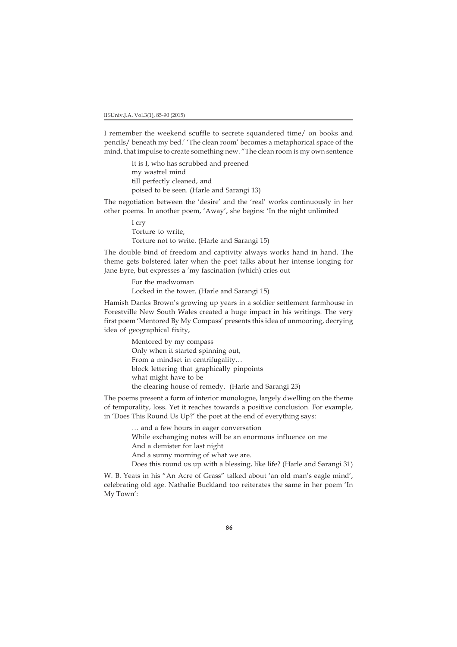I remember the weekend scuffle to secrete squandered time/ on books and pencils/ beneath my bed.' 'The clean room' becomes a metaphorical space of the mind, that impulse to create something new. "The clean room is my own sentence

> It is I, who has scrubbed and preened my wastrel mind till perfectly cleaned, and poised to be seen. (Harle and Sarangi 13)

The negotiation between the 'desire' and the 'real' works continuously in her other poems. In another poem, 'Away', she begins: 'In the night unlimited

> I cry Torture to write, Torture not to write. (Harle and Sarangi 15)

The double bind of freedom and captivity always works hand in hand. The theme gets bolstered later when the poet talks about her intense longing for Jane Eyre, but expresses a 'my fascination (which) cries out

> For the madwoman Locked in the tower. (Harle and Sarangi 15)

Hamish Danks Brown's growing up years in a soldier settlement farmhouse in Forestville New South Wales created a huge impact in his writings. The very first poem 'Mentored By My Compass' presents this idea of unmooring, decrying idea of geographical fixity,

> Mentored by my compass Only when it started spinning out, From a mindset in centrifugality… block lettering that graphically pinpoints what might have to be the clearing house of remedy. (Harle and Sarangi 23)

The poems present a form of interior monologue, largely dwelling on the theme of temporality, loss. Yet it reaches towards a positive conclusion. For example, in 'Does This Round Us Up?' the poet at the end of everything says:

… and a few hours in eager conversation

While exchanging notes will be an enormous influence on me

And a demister for last night

And a sunny morning of what we are.

Does this round us up with a blessing, like life? (Harle and Sarangi 31)

W. B. Yeats in his "An Acre of Grass" talked about 'an old man's eagle mind', celebrating old age. Nathalie Buckland too reiterates the same in her poem 'In My Town':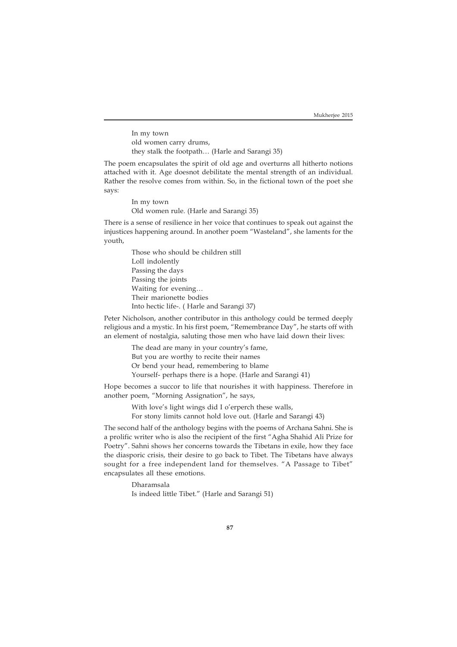In my town old women carry drums, they stalk the footpath… (Harle and Sarangi 35)

The poem encapsulates the spirit of old age and overturns all hitherto notions attached with it. Age doesnot debilitate the mental strength of an individual. Rather the resolve comes from within. So, in the fictional town of the poet she says:

> In my town Old women rule. (Harle and Sarangi 35)

There is a sense of resilience in her voice that continues to speak out against the injustices happening around. In another poem "Wasteland", she laments for the youth,

> Those who should be children still Loll indolently Passing the days Passing the joints Waiting for evening… Their marionette bodies Into hectic life-. ( Harle and Sarangi 37)

Peter Nicholson, another contributor in this anthology could be termed deeply religious and a mystic. In his first poem, "Remembrance Day", he starts off with an element of nostalgia, saluting those men who have laid down their lives:

> The dead are many in your country's fame, But you are worthy to recite their names Or bend your head, remembering to blame Yourself- perhaps there is a hope. (Harle and Sarangi 41)

Hope becomes a succor to life that nourishes it with happiness. Therefore in another poem, "Morning Assignation", he says,

With love's light wings did I o'erperch these walls,

For stony limits cannot hold love out. (Harle and Sarangi 43)

The second half of the anthology begins with the poems of Archana Sahni. She is a prolific writer who is also the recipient of the first "Agha Shahid Ali Prize for Poetry". Sahni shows her concerns towards the Tibetans in exile, how they face the diasporic crisis, their desire to go back to Tibet. The Tibetans have always sought for a free independent land for themselves. "A Passage to Tibet" encapsulates all these emotions.

> Dharamsala Is indeed little Tibet." (Harle and Sarangi 51)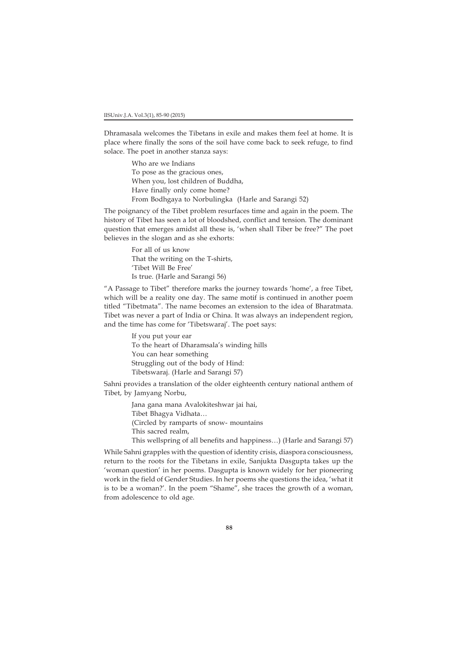Dhramasala welcomes the Tibetans in exile and makes them feel at home. It is place where finally the sons of the soil have come back to seek refuge, to find solace. The poet in another stanza says:

> Who are we Indians To pose as the gracious ones, When you, lost children of Buddha, Have finally only come home? From Bodhgaya to Norbulingka (Harle and Sarangi 52)

The poignancy of the Tibet problem resurfaces time and again in the poem. The history of Tibet has seen a lot of bloodshed, conflict and tension. The dominant question that emerges amidst all these is, 'when shall Tiber be free?" The poet believes in the slogan and as she exhorts:

> For all of us know That the writing on the T-shirts, 'Tibet Will Be Free' Is true. (Harle and Sarangi 56)

"A Passage to Tibet" therefore marks the journey towards 'home', a free Tibet, which will be a reality one day. The same motif is continued in another poem titled "Tibetmata". The name becomes an extension to the idea of Bharatmata. Tibet was never a part of India or China. It was always an independent region, and the time has come for 'Tibetswaraj'. The poet says:

> If you put your ear To the heart of Dharamsala's winding hills You can hear something Struggling out of the body of Hind: Tibetswaraj. (Harle and Sarangi 57)

Sahni provides a translation of the older eighteenth century national anthem of Tibet, by Jamyang Norbu,

> Jana gana mana Avalokiteshwar jai hai, Tibet Bhagya Vidhata… (Circled by ramparts of snow- mountains This sacred realm,

This wellspring of all benefits and happiness…) (Harle and Sarangi 57)

While Sahni grapples with the question of identity crisis, diaspora consciousness, return to the roots for the Tibetans in exile, Sanjukta Dasgupta takes up the 'woman question' in her poems. Dasgupta is known widely for her pioneering work in the field of Gender Studies. In her poems she questions the idea, 'what it is to be a woman?'. In the poem "Shame", she traces the growth of a woman, from adolescence to old age.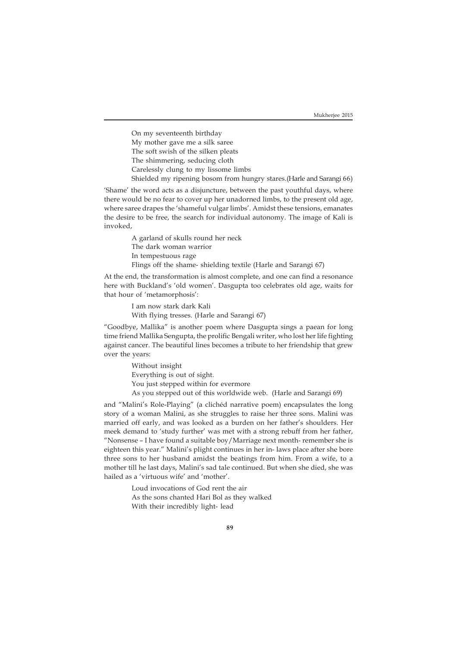On my seventeenth birthday My mother gave me a silk saree The soft swish of the silken pleats The shimmering, seducing cloth Carelessly clung to my lissome limbs Shielded my ripening bosom from hungry stares.(Harle and Sarangi 66)

'Shame' the word acts as a disjuncture, between the past youthful days, where there would be no fear to cover up her unadorned limbs, to the present old age, where saree drapes the 'shameful vulgar limbs'. Amidst these tensions, emanates the desire to be free, the search for individual autonomy. The image of Kali is invoked,

> A garland of skulls round her neck The dark woman warrior In tempestuous rage Flings off the shame- shielding textile (Harle and Sarangi 67)

At the end, the transformation is almost complete, and one can find a resonance here with Buckland's 'old women'. Dasgupta too celebrates old age, waits for that hour of 'metamorphosis':

> I am now stark dark Kali With flying tresses. (Harle and Sarangi 67)

"Goodbye, Mallika" is another poem where Dasgupta sings a paean for long time friend Mallika Sengupta, the prolific Bengali writer, who lost her life fighting against cancer. The beautiful lines becomes a tribute to her friendship that grew over the years:

Without insight Everything is out of sight. You just stepped within for evermore As you stepped out of this worldwide web. (Harle and Sarangi 69)

and "Malini's Role-Playing" (a clichéd narrative poem) encapsulates the long story of a woman Malini, as she struggles to raise her three sons. Malini was married off early, and was looked as a burden on her father's shoulders. Her meek demand to 'study further' was met with a strong rebuff from her father, "Nonsense – I have found a suitable boy/Marriage next month- remember she is eighteen this year." Malini's plight continues in her in- laws place after she bore three sons to her husband amidst the beatings from him. From a wife, to a mother till he last days, Malini's sad tale continued. But when she died, she was hailed as a 'virtuous wife' and 'mother'.

> Loud invocations of God rent the air As the sons chanted Hari Bol as they walked With their incredibly light- lead